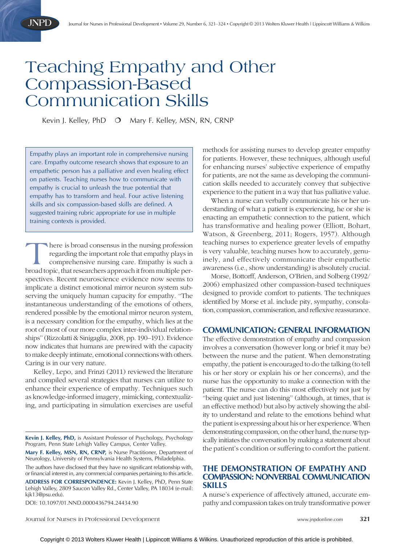# Teaching Empathy and Other Compassion-Based Communication Skills

Kevin J. Kelley, PhD **O** Mary F. Kelley, MSN, RN, CRNP

Empathy plays an important role in comprehensive nursing care. Empathy outcome research shows that exposure to an empathetic person has a palliative and even healing effect on patients. Teaching nurses how to communicate with empathy is crucial to unleash the true potential that empathy has to transform and heal. Four active listening skills and six compassion-based skills are defined. A suggested training rubric appropriate for use in multiple training contexts is provided.

There is broad consensus in the nursing profession<br>regarding the important role that empathy plays in<br>comprehensive nursing care. Empathy is such a<br>broad topic, that researchers approach it from multiple perregarding the important role that empathy plays in broad topic, that researchers approach it from multiple perspectives. Recent neuroscience evidence now seems to implicate a distinct emotional mirror neuron system subserving the uniquely human capacity for empathy. ''The instantaneous understanding of the emotions of others, rendered possible by the emotional mirror neuron system, is a necessary condition for the empathy, which lies at the root of most of our more complex inter-individual relationships" (Rizzolatti & Sinigaglia, 2008, pp. 190-191). Evidence now indicates that humans are prewired with the capacity to make deeply intimate, emotional connections with others. Caring is in our very nature.

Kelley, Lepo, and Frinzi (2011) reviewed the literature and compiled several strategies that nurses can utilize to enhance their experience of empathy. Techniques such as knowledge-informed imagery, mimicking, contextualizing, and participating in simulation exercises are useful

Mary F. Kelley, MSN, RN, CRNP, is Nurse Practitioner, Department of Neurology, University of Pennsylvania Health Systems, Philadelphia.

The authors have disclosed that they have no significant relationship with, or financial interest in, any commercial companies pertaining to this article.

ADDRESS FOR CORRESPONDENCE: Kevin J. Kelley, PhD, Penn State Lehigh Valley, 2809 Saucon Valley Rd., Center Valley, PA 18034 (e-mail: [kjk13@psu.edu\).](mailto:kjk13@psu.edu)

DOI: 10.1097/01.NND.0000436794.24434.90

methods for assisting nurses to develop greater empathy for patients. However, these techniques, although useful for enhancing nurses' subjective experience of empathy for patients, are not the same as developing the communication skills needed to accurately convey that subjective experience to the patient in a way that has palliative value.

When a nurse can verbally communicate his or her understanding of what a patient is experiencing, he or she is enacting an empathetic connection to the patient, which has transformative and healing power (Elliott, Bohart, Watson, & Greenberg, 2011; Rogers, 1957). Although teaching nurses to experience greater levels of empathy is very valuable, teaching nurses how to accurately, genuinely, and effectively communicate their empathetic awareness (i.e., show understanding) is absolutely crucial.

Morse, Bottorff, Anderson, O'Brien, and Solberg (1992/ 2006) emphasized other compassion-based techniques designed to provide comfort to patients. The techniques identified by Morse et al. include pity, sympathy, consolation, compassion, commiseration, and reflexive reassurance.

# COMMUNICATION: GENERAL INFORMATION

The effective demonstration of empathy and compassion involves a conversation (however long or brief it may be) between the nurse and the patient. When demonstrating empathy, the patient is encouraged to do the talking (to tell his or her story or explain his or her concerns), and the nurse has the opportunity to make a connection with the patient. The nurse can do this most effectively not just by "being quiet and just listening" (although, at times, that is an effective method) but also by actively showing the ability to understand and relate to the emotions behind what the patient is expressing about his or her experience. When demonstrating compassion, on the other hand, the nurse typically initiates the conversation by making a statement about the patient's condition or suffering to comfort the patient.

# THE DEMONSTRATION OF EMPATHY AND COMPASSION: NONVERBAL COMMUNICATION SKILLS

A nurse's experience of affectively attuned, accurate empathy and compassion takes on truly transformative power

Journal for Nurses in Professional Development www.jnpdonline.com 321

Kevin J. Kelley, PhD, is Assistant Professor of Psychology, Psychology Program, Penn State Lehigh Valley Campus, Center Valley.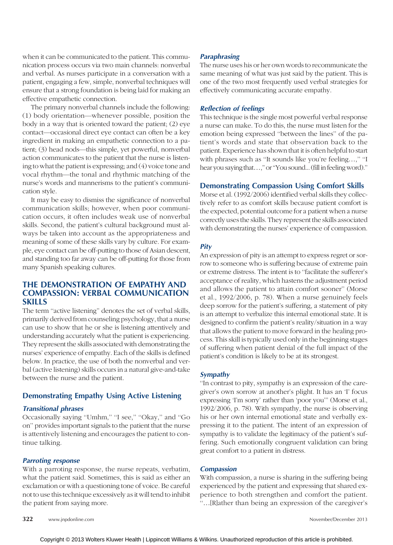when it can be communicated to the patient. This communication process occurs via two main channels: nonverbal and verbal. As nurses participate in a conversation with a patient, engaging a few, simple, nonverbal techniques will ensure that a strong foundation is being laid for making an effective empathetic connection.

The primary nonverbal channels include the following:  $(1)$  body orientation—whenever possible, position the body in a way that is oriented toward the patient; (2) eye contact—occasional direct eye contact can often be a key ingredient in making an empathetic connection to a patient; (3) head nods—this simple, yet powerful, nonverbal action communicates to the patient that the nurse is listening to what the patient is expressing; and (4) voice tone and vocal rhythm-the tonal and rhythmic matching of the nurse's words and mannerisms to the patient's communication style.

It may be easy to dismiss the significance of nonverbal communication skills; however, when poor communication occurs, it often includes weak use of nonverbal skills. Second, the patient's cultural background must always be taken into account as the appropriateness and meaning of some of these skills vary by culture. For example, eye contact can be off-putting to those of Asian descent, and standing too far away can be off-putting for those from many Spanish speaking cultures.

# THE DEMONSTRATION OF EMPATHY AND COMPASSION: VERBAL COMMUNICATION SKILLS

The term ''active listening'' denotes the set of verbal skills, primarily derived from counseling psychology, that a nurse can use to show that he or she is listening attentively and understanding accurately what the patient is experiencing. They represent the skills associated with demonstrating the nurses' experience of empathy. Each of the skills is defined below. In practice, the use of both the nonverbal and verbal (active listening) skills occurs in a natural give-and-take between the nurse and the patient.

# Demonstrating Empathy Using Active Listening

#### Transitional phrases

Occasionally saying ''Umhm,'' ''I see,'' ''Okay,'' and ''Go on'' provides important signals to the patient that the nurse is attentively listening and encourages the patient to continue talking.

# Parroting response

With a parroting response, the nurse repeats, verbatim, what the patient said. Sometimes, this is said as either an exclamation or with a questioning tone of voice. Be careful not to use this technique excessively as it will tend to inhibit the patient from saying more.

#### **Paraphrasing**

The nurse uses his or her own words to recommunicate the same meaning of what was just said by the patient. This is one of the two most frequently used verbal strategies for effectively communicating accurate empathy.

#### Reflection of feelings

This technique is the single most powerful verbal response a nurse can make. To do this, the nurse must listen for the emotion being expressed ''between the lines'' of the patient's words and state that observation back to the patient. Experience has shown that it is often helpful to start with phrases such as "It sounds like you're feeling...," "I hear you saying that...," or "You sound... (fill in feeling word)."

# Demonstrating Compassion Using Comfort Skills

Morse et al. (1992/2006) identified verbal skills they collectively refer to as comfort skills because patient comfort is the expected, potential outcome for a patient when a nurse correctly uses the skills. They represent the skills associated with demonstrating the nurses' experience of compassion.

# **Pity**

An expression of pity is an attempt to express regret or sorrow to someone who is suffering because of extreme pain or extreme distress. The intent is to ''facilitate the sufferer's acceptance of reality, which hastens the adjustment period and allows the patient to attain comfort sooner'' (Morse et al., 1992/2006, p. 78). When a nurse genuinely feels deep sorrow for the patient's suffering, a statement of pity is an attempt to verbalize this internal emotional state. It is designed to confirm the patient's reality/situation in a way that allows the patient to move forward in the healing process. This skill is typically used only in the beginning stages of suffering when patient denial of the full impact of the patient's condition is likely to be at its strongest.

#### **Sympathy**

''In contrast to pity, sympathy is an expression of the caregiver's own sorrow at another's plight. It has an 'I' focus expressing 'I'm sorry' rather than 'poor you''' (Morse et al., 1992/2006, p. 78). With sympathy, the nurse is observing his or her own internal emotional state and verbally expressing it to the patient. The intent of an expression of sympathy is to validate the legitimacy of the patient's suffering. Such emotionally congruent validation can bring great comfort to a patient in distress.

#### **Compassion**

With compassion, a nurse is sharing in the suffering being experienced by the patient and expressing that shared experience to both strengthen and comfort the patient. "...[R]ather than being an expression of the caregiver's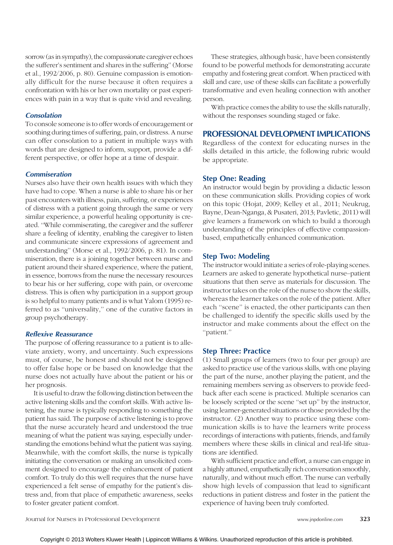sorrow (as in sympathy), the compassionate caregiver echoes the sufferer's sentiment and shares in the suffering'' (Morse et al., 1992/2006, p. 80). Genuine compassion is emotionally difficult for the nurse because it often requires a confrontation with his or her own mortality or past experiences with pain in a way that is quite vivid and revealing.

#### **Consolation**

To console someone is to offer words of encouragement or soothing during times of suffering, pain, or distress. A nurse can offer consolation to a patient in multiple ways with words that are designed to inform, support, provide a different perspective, or offer hope at a time of despair.

#### **Commiseration**

Nurses also have their own health issues with which they have had to cope. When a nurse is able to share his or her past encounters with illness, pain, suffering, or experiences of distress with a patient going through the same or very similar experience, a powerful healing opportunity is created. ''While commiserating, the caregiver and the sufferer share a feeling of identity, enabling the caregiver to listen and communicate sincere expressions of agreement and understanding'' (Morse et al., 1992/2006, p. 81). In commiseration, there is a joining together between nurse and patient around their shared experience, where the patient, in essence, borrows from the nurse the necessary resources to bear his or her suffering, cope with pain, or overcome distress. This is often why participation in a support group is so helpful to many patients and is what Yalom (1995) referred to as ''universality,'' one of the curative factors in group psychotherapy.

# Reflexive Reassurance

The purpose of offering reassurance to a patient is to alleviate anxiety, worry, and uncertainty. Such expressions must, of course, be honest and should not be designed to offer false hope or be based on knowledge that the nurse does not actually have about the patient or his or her prognosis.

It is useful to draw the following distinction between the active listening skills and the comfort skills. With active listening, the nurse is typically responding to something the patient has said. The purpose of active listening is to prove that the nurse accurately heard and understood the true meaning of what the patient was saying, especially understanding the emotions behind what the patient was saying. Meanwhile, with the comfort skills, the nurse is typically initiating the conversation or making an unsolicited comment designed to encourage the enhancement of patient comfort. To truly do this well requires that the nurse have experienced a felt sense of empathy for the patient's distress and, from that place of empathetic awareness, seeks to foster greater patient comfort.

These strategies, although basic, have been consistently found to be powerful methods for demonstrating accurate empathy and fostering great comfort. When practiced with skill and care, use of these skills can facilitate a powerfully transformative and even healing connection with another person.

With practice comes the ability to use the skills naturally, without the responses sounding staged or fake.

# PROFESSIONAL DEVELOPMENT IMPLICATIONS

Regardless of the context for educating nurses in the skills detailed in this article, the following rubric would be appropriate.

#### Step One: Reading

An instructor would begin by providing a didactic lesson on these communication skills. Providing copies of work on this topic (Hojat, 2009; Kelley et al., 2011; Neukrug, Bayne, Dean-Nganga, & Pusateri, 2013; Pavletic, 2011) will give learners a framework on which to build a thorough understanding of the principles of effective compassionbased, empathetically enhanced communication.

# Step Two: Modeling

The instructor would initiate a series of role-playing scenes. Learners are asked to generate hypothetical nurse-patient situations that then serve as materials for discussion. The instructor takes on the role of the nurse to show the skills, whereas the learner takes on the role of the patient. After each ''scene'' is enacted, the other participants can then be challenged to identify the specific skills used by the instructor and make comments about the effect on the ''patient.''

# Step Three: Practice

(1) Small groups of learners (two to four per group) are asked to practice use of the various skills, with one playing the part of the nurse, another playing the patient, and the remaining members serving as observers to provide feedback after each scene is practiced. Multiple scenarios can be loosely scripted or the scene ''set up'' by the instructor, using learner-generated situations or those provided by the instructor. (2) Another way to practice using these communication skills is to have the learners write process recordings of interactions with patients, friends, and family members where these skills in clinical and real-life situations are identified.

With sufficient practice and effort, a nurse can engage in a highly attuned, empathetically rich conversation smoothly, naturally, and without much effort. The nurse can verbally show high levels of compassion that lead to significant reductions in patient distress and foster in the patient the experience of having been truly comforted.

Journal for Nurses in Professional Development www.jnpdonline.com 323